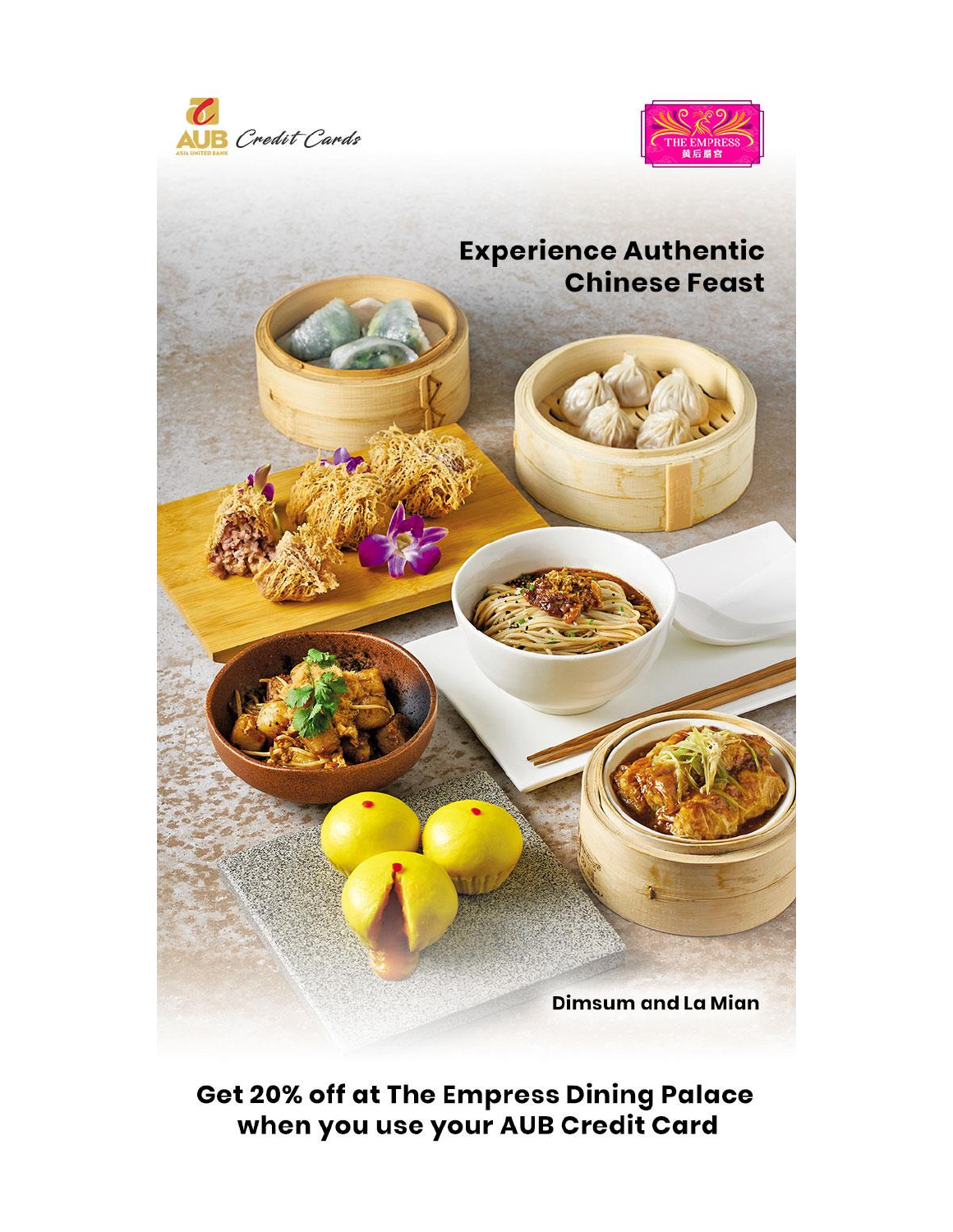



## **Experience Authentic Chinese Feast**

**Dimsum and La Mian** 

**Get 20% off at The Empress Dining Palace** when you use your AUB Credit Card